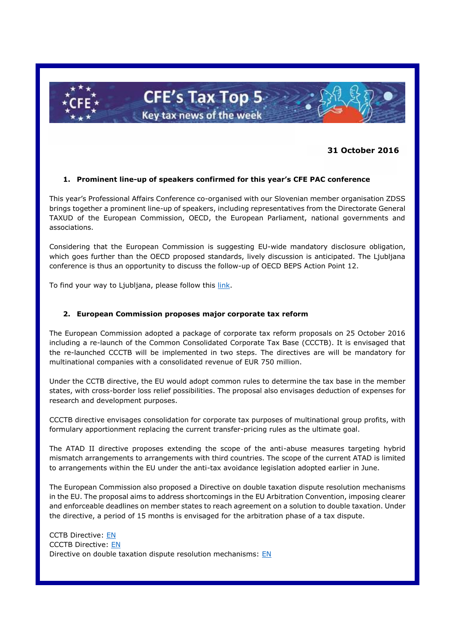

## **31 October 2016**

### **1. Prominent line-up of speakers confirmed for this year's CFE PAC conference**

This year's Professional Affairs Conference co-organised with our Slovenian member organisation ZDSS brings together a prominent line-up of speakers, including representatives from the Directorate General TAXUD of the European Commission, OECD, the European Parliament, national governments and associations.

Considering that the European Commission is suggesting EU-wide mandatory disclosure obligation, which goes further than the OECD proposed standards, lively discussion is anticipated. The Liubliana conference is thus an opportunity to discuss the follow-up of OECD BEPS Action Point 12.

To find your way to Ljubljana, please follow this [link.](http://www.cfe-eutax.org/node/5548)

#### **2. European Commission proposes major corporate tax reform**

The European Commission adopted a package of corporate tax reform proposals on 25 October 2016 including a re-launch of the Common Consolidated Corporate Tax Base (CCCTB). It is envisaged that the re-launched CCCTB will be implemented in two steps. The directives are will be mandatory for multinational companies with a consolidated revenue of EUR 750 million.

Under the CCTB directive, the EU would adopt common rules to determine the tax base in the member states, with cross-border loss relief possibilities. The proposal also envisages deduction of expenses for research and development purposes.

CCCTB directive envisages consolidation for corporate tax purposes of multinational group profits, with formulary apportionment replacing the current transfer-pricing rules as the ultimate goal.

The ATAD II directive proposes extending the scope of the anti-abuse measures targeting hybrid mismatch arrangements to arrangements with third countries. The scope of the current ATAD is limited to arrangements within the EU under the anti-tax avoidance legislation adopted earlier in June.

The European Commission also proposed a Directive on double taxation dispute resolution mechanisms in the EU. The proposal aims to address shortcomings in the EU Arbitration Convention, imposing clearer and enforceable deadlines on member states to reach agreement on a solution to double taxation. Under the directive, a period of 15 months is envisaged for the arbitration phase of a tax dispute.

CCTB Directive: [EN](https://ec.europa.eu/taxation_customs/sites/taxation/files/com_2016_685_en.pdf) CCCTB Directive: [EN](http://ec.europa.eu/taxation_customs/sites/taxation/files/com_2016_683_en.pdf) Directive on double taxation dispute resolution mechanisms: EN